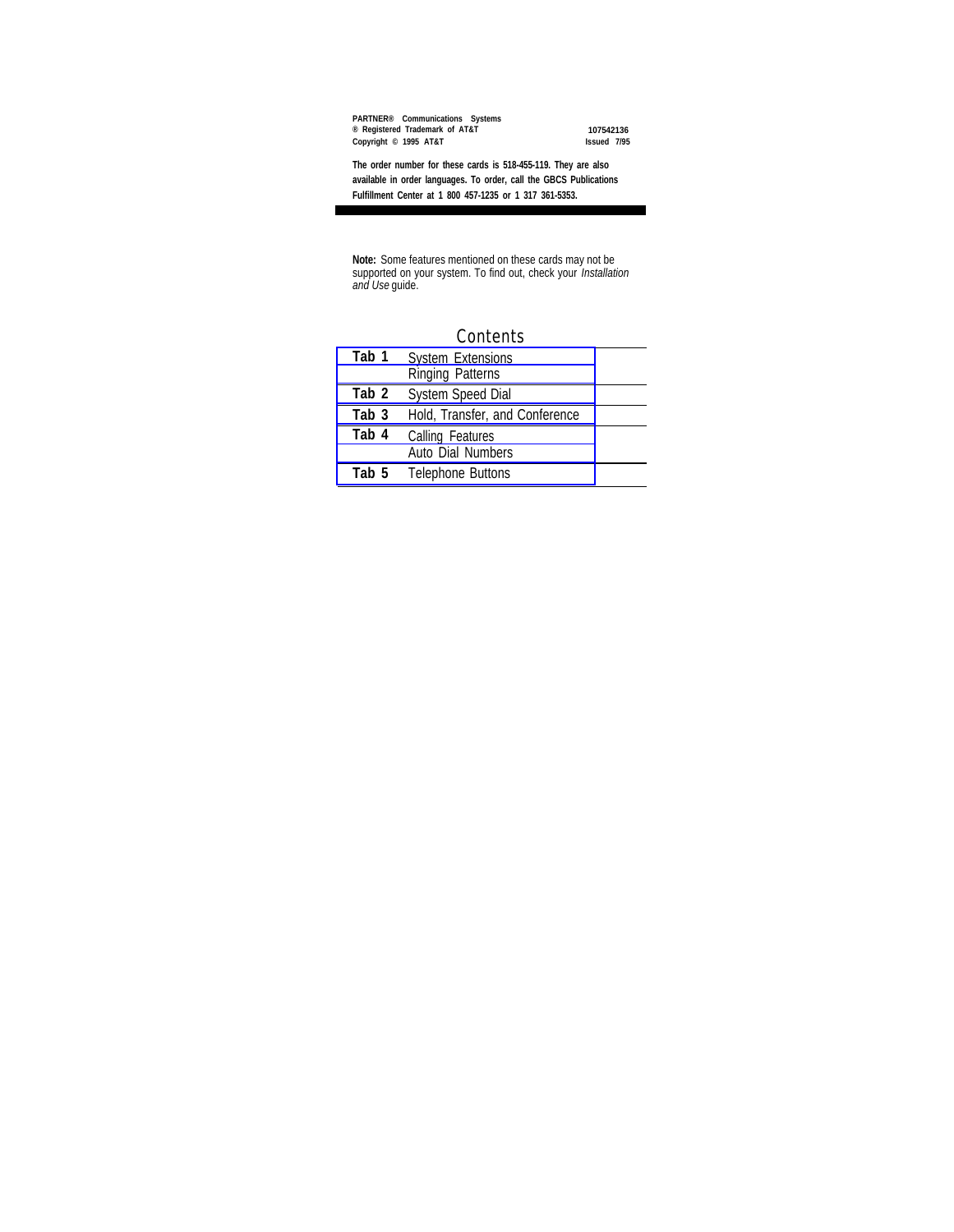**PARTNER® Communications Systems ® Registered Trademark of AT&T 107542136 Copyright © 1995 AT&T Issued 7/95**

**The order number for these cards is 518-455-119. They are also available in order languages. To order, call the GBCS Publications Fulfillment Center at 1 800 457-1235 or 1 317 361-5353.**

**Note:** Some features mentioned on these cards may not be supported on your system. To find out, check your *Installation and Use* guide.

| <b>Contents</b> |                                                     |  |
|-----------------|-----------------------------------------------------|--|
| Tab 1           | <b>System Extensions</b><br><b>Ringing Patterns</b> |  |
|                 |                                                     |  |
| Tab 2           | <b>System Speed Dial</b>                            |  |
| Tab 3           | Hold, Transfer, and Conference                      |  |
| Tab 4           | <b>Calling Features</b><br>Auto Dial Numbers        |  |
| Tab 5           | <b>Telephone Buttons</b>                            |  |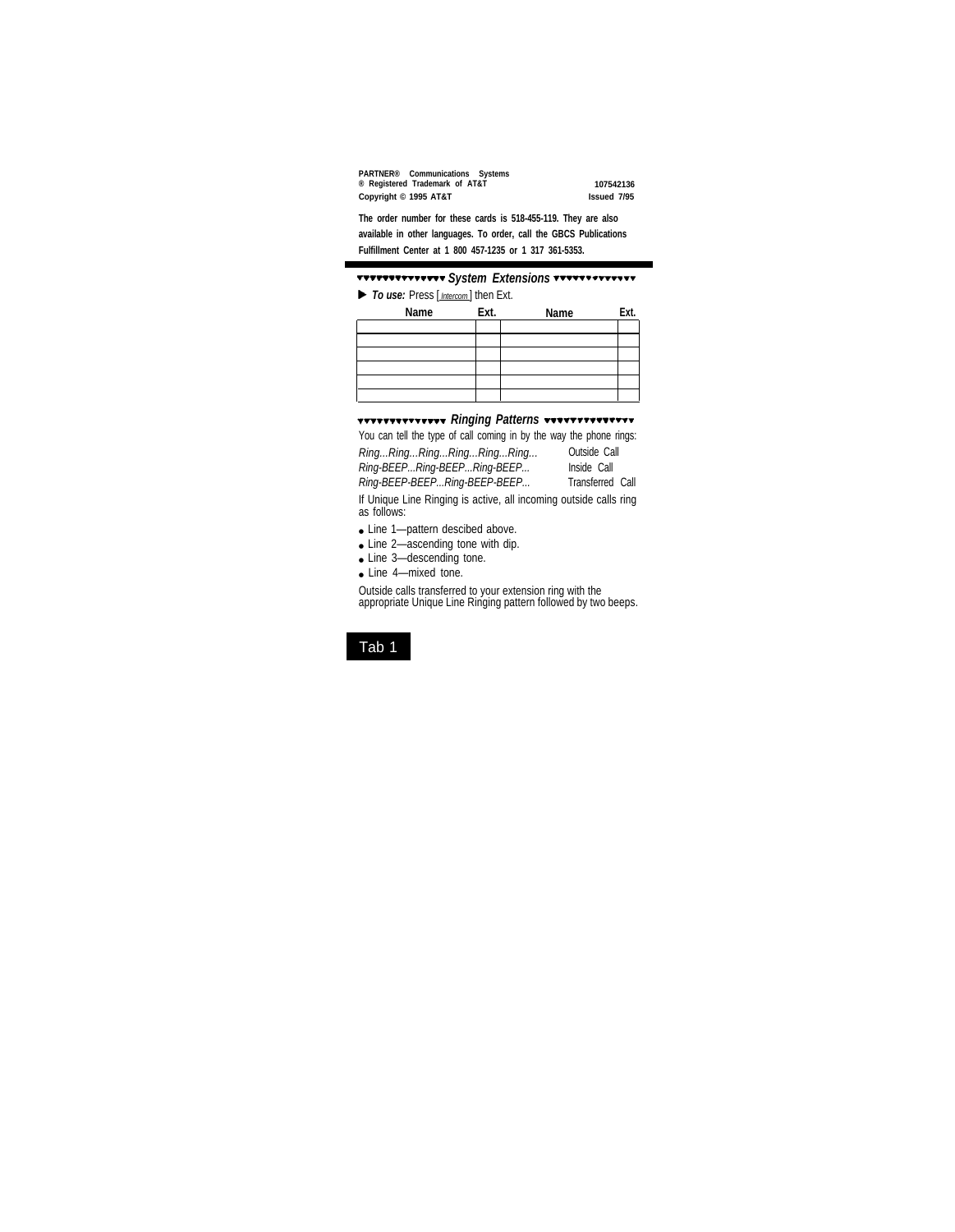| PARTNER® Communications Systems |                    |
|---------------------------------|--------------------|
| ® Registered Trademark of AT&T  | 107542136          |
| Copyright © 1995 AT&T           | <b>Issued 7/95</b> |

**The order number for these cards is 518-455-119. They are also available in other languages. To order, call the GBCS Publications Fulfillment Center at 1 800 457-1235 or 1 317 361-5353.**

### *System Extensions*

<span id="page-1-0"></span>**To use:** Press [*Intercom*] then Ext.

<span id="page-1-1"></span>

| Name | Ext. | Name | Ext. |
|------|------|------|------|
|      |      |      |      |
|      |      |      |      |
|      |      |      |      |
|      |      |      |      |
|      |      |      |      |
|      |      |      |      |

#### **Ringing Patterns Westerns**

You can tell the type of call coming in by the way the phone rings:

| RingRingRingRingRingRing     | Outside Call            |  |
|------------------------------|-------------------------|--|
| Ring-BEEPRing-BEEPRing-BEEP  | Inside Call             |  |
| Ring-BEEP-BEEPRing-BEEP-BEEP | <b>Transferred Call</b> |  |

If Unique Line Ringing is active, all incoming outside calls ring as follows:

- Line 1-pattern descibed above.
- Line 2-ascending tone with dip.
- Line 3-descending tone.
- Line 4-mixed tone.

Outside calls transferred to your extension ring with the appropriate Unique Line Ringing pattern followed by two beeps.

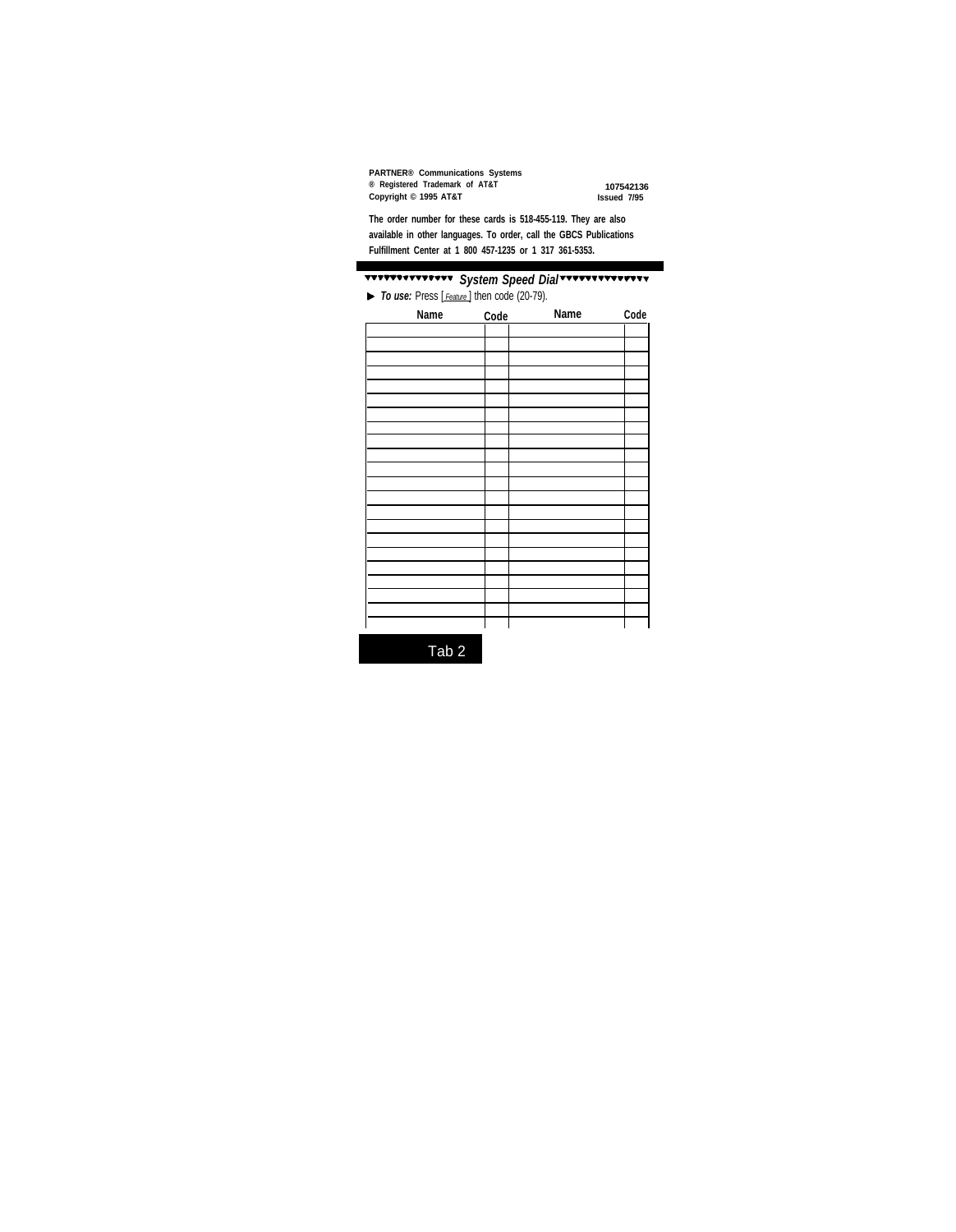| <b>PARTNER® Communications Systems</b> |                    |
|----------------------------------------|--------------------|
| ® Registered Trademark of AT&T         | 107542136          |
| Copyright © 1995 AT&T                  | <b>Issued 7/95</b> |

**The order number for these cards is 518-455-119. They are also available in other languages. To order, call the GBCS Publications Fulfillment Center at 1 800 457-1235 or 1 317 361-5353.**

## <span id="page-2-0"></span>*System Speed Dial*

*To use:* Press [ *Feature* ] then code (20-79).

| Name | Code | Name | Code |
|------|------|------|------|
|      |      |      |      |
|      |      |      |      |
|      |      |      |      |
|      |      |      |      |
|      |      |      |      |
|      |      |      |      |
|      |      |      |      |
|      |      |      |      |
|      |      |      |      |
|      |      |      |      |
|      |      |      |      |
|      |      |      |      |
|      |      |      |      |
|      |      |      |      |
|      |      |      |      |
|      |      |      |      |
|      |      |      |      |
|      |      |      |      |
|      |      |      |      |
|      |      |      |      |
|      |      |      |      |
|      |      |      |      |

Tab 2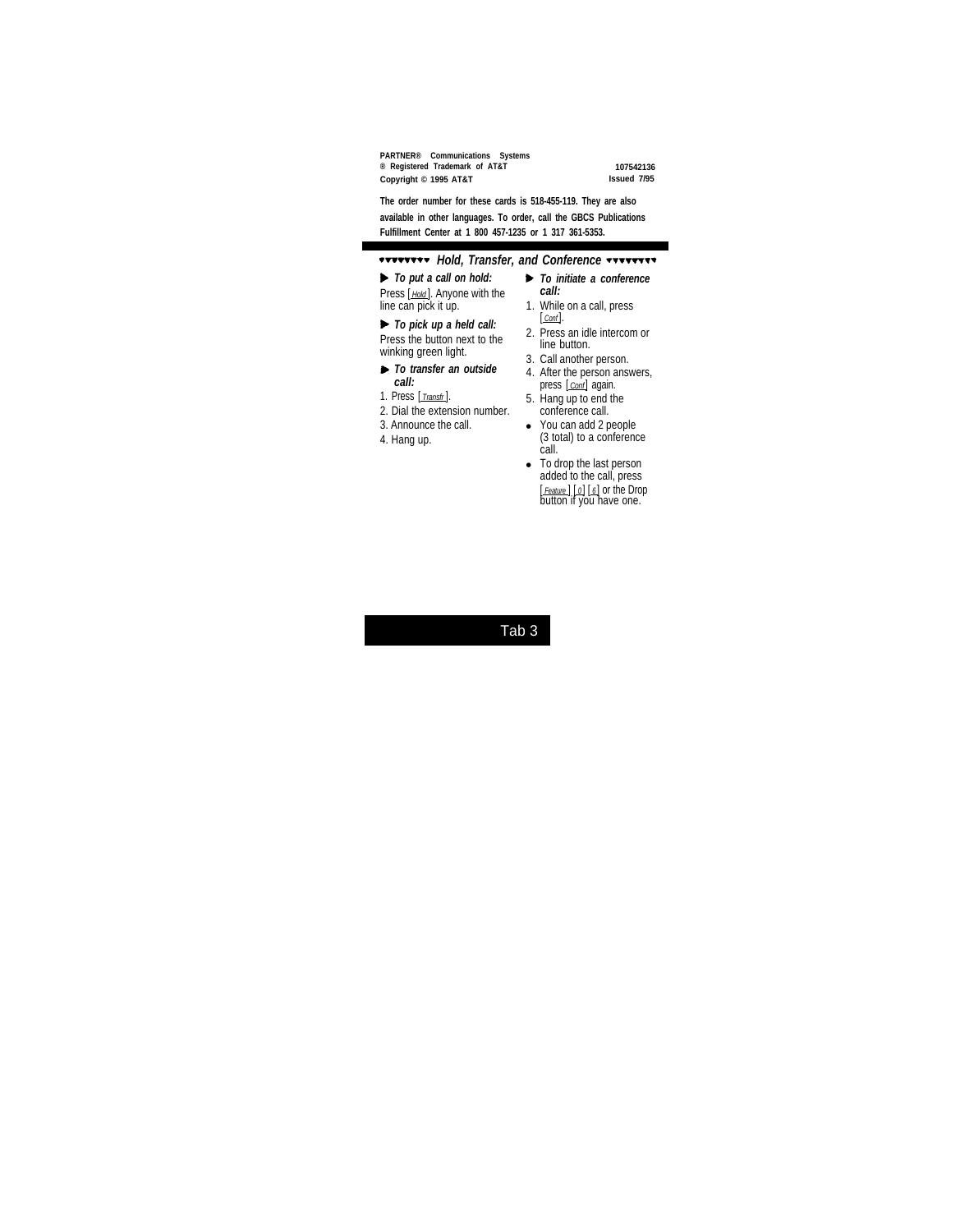**PARTNER® Communications Systems ® Registered Trademark of AT&T 107542136 Copyright © 1995 AT&T Issued 7/95**

**The order number for these cards is 518-455-119. They are also available in other languages. To order, call the GBCS Publications Fulfillment Center at 1 800 457-1235 or 1 317 361-5353.**

## *Hold, Transfer, and Conference*

<span id="page-3-0"></span>*To put a call on hold:* Press [ *Hold* ]. Anyone with the  $line can pick it up.$ 

### *To pick up a held call:*

Press the button next to the winking green light.

- *To transfer an outside call:*
- 1. Press [ *Transfr* ].
- 2. Dial the extension number.
- 3. Announce the call.
- 4. Hang up.
- *To initiate a conference call:*
- 1. While on a call, press [ *Conf* ].
- 2. Press an idle intercom or line button.
- 3. Call another person.
- 4. After the person answers, press [*conf*] again.
- 5. Hang up to end the conference call.
- You can add 2 people (3 total) to a conference call.
- To drop the last person added to the call, press [ *Feature* ] [ *0* ] [ *6* ] or the Drop button if you have one.

# Tab 3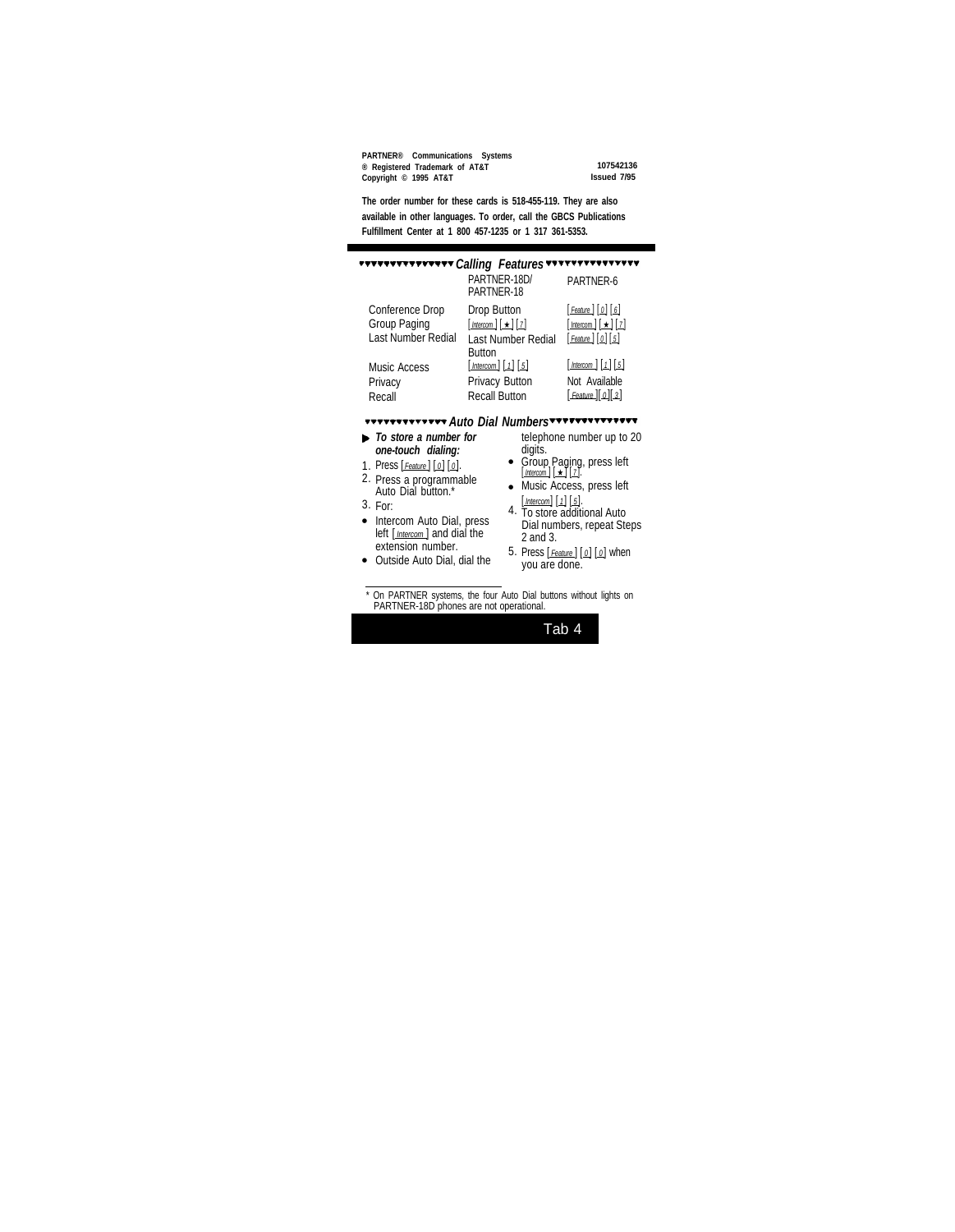**PARTNER® Communications Systems ® Registered Trademark of AT&T 107542136 Copyright © 1995 AT&T Issued 7/95**

**The order number for these cards is 518-455-119. They are also available in other languages. To order, call the GBCS Publications Fulfillment Center at 1 800 457-1235 or 1 317 361-5353.**

<span id="page-4-1"></span><span id="page-4-0"></span>

| ************** Calling Features*************** |                                                                  |                                        |
|------------------------------------------------|------------------------------------------------------------------|----------------------------------------|
|                                                | PARTNER-18D/<br>PARTNER-18                                       | PARTNER-6                              |
| <b>Conference Drop</b>                         | Drop Button                                                      | $[$ Feature $[$ $[$ $0]$ $[$ $\delta]$ |
| Group Paging                                   | $[$ Intercom $\pm$ $\pm$ $\pm$ $\pm$                             | $[\text{Intercom}][\star][z]$          |
| Last Number Redial                             | <b>Last Number Redial</b><br><b>Button</b>                       | $[$ Feature $]$ $[$ $0]$ $[$ $5]$      |
| Music Access                                   | $\lceil$ Intercom $\lceil$ $\lceil$ $\lceil$ $\lceil$ 5 $\rceil$ | $[$ Intercom $[1]$ $[5]$               |
| Privacy                                        | <b>Privacy Button</b>                                            | Not Available                          |
| Recall                                         | <b>Recall Button</b>                                             | [ Feature ][ 0][ 3]                    |

### **AUTO Dial Numbers And Auto Dial Numbers**

- *To store a number for one-touch dialing:*
- 1. Press [ *Feature* ] [ *0* ] [ *0* ].
- 2. Press a programmable Auto Dial button.\*
- 3. For:
- Intercom Auto Dial, press left [ *Intercom* ] and dial the extension number.
- Outside Auto Dial, dial the

telephone number up to 20 digits.

- Group Paging, press left [ *Intercom* ] [ ★ ] [ *7* ].
- Music Access, press left [ *Intercom* ] [ *1* ] [ *5* ].
- 4. To store additional Auto Dial numbers, repeat Steps 2 and 3.
- 5. Press [ *Feature* ] [ *0* ] [ *0* ] when you are done.

Tab 4

<sup>\*</sup> On PARTNER systems, the four Auto Dial buttons without lights on PARTNER-18D phones are not operational.